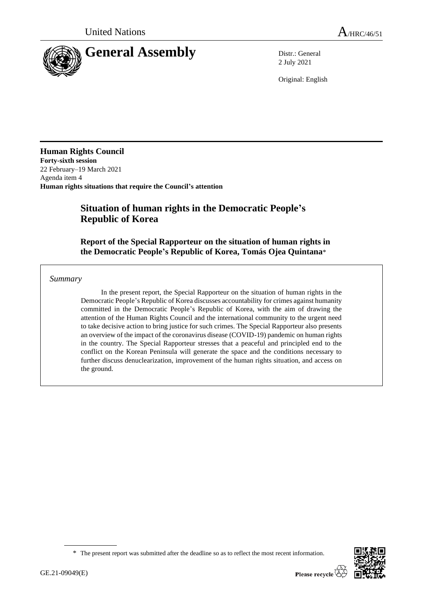

2 July 2021

Original: English

**Human Rights Council Forty-sixth session** 22 February–19 March 2021 Agenda item 4 **Human rights situations that require the Council's attention**

# **Situation of human rights in the Democratic People's Republic of Korea**

**Report of the Special Rapporteur on the situation of human rights in the Democratic People's Republic of Korea, Tomás Ojea Quintana**\*

### *Summary*

In the present report, the Special Rapporteur on the situation of human rights in the Democratic People's Republic of Korea discusses accountability for crimes against humanity committed in the Democratic People's Republic of Korea, with the aim of drawing the attention of the Human Rights Council and the international community to the urgent need to take decisive action to bring justice for such crimes. The Special Rapporteur also presents an overview of the impact of the coronavirus disease (COVID-19) pandemic on human rights in the country. The Special Rapporteur stresses that a peaceful and principled end to the conflict on the Korean Peninsula will generate the space and the conditions necessary to further discuss denuclearization, improvement of the human rights situation, and access on the ground.

<sup>\*</sup> The present report was submitted after the deadline so as to reflect the most recent information.

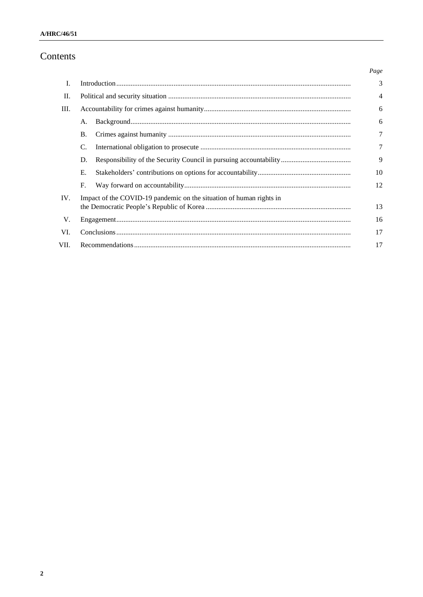# Contents

|      |                                                                     |  | Page           |
|------|---------------------------------------------------------------------|--|----------------|
| L.   |                                                                     |  | 3              |
| II.  |                                                                     |  | $\overline{4}$ |
| Ш.   |                                                                     |  | 6              |
|      | A.                                                                  |  | 6              |
|      | <b>B.</b>                                                           |  | 7              |
|      | C.                                                                  |  | $\tau$         |
|      | D.                                                                  |  | 9              |
|      | Е.                                                                  |  | 10             |
|      | F.                                                                  |  | 12             |
| IV.  | Impact of the COVID-19 pandemic on the situation of human rights in |  | 13             |
| V.   |                                                                     |  | 16             |
| VI.  |                                                                     |  | 17             |
| VII. |                                                                     |  | 17             |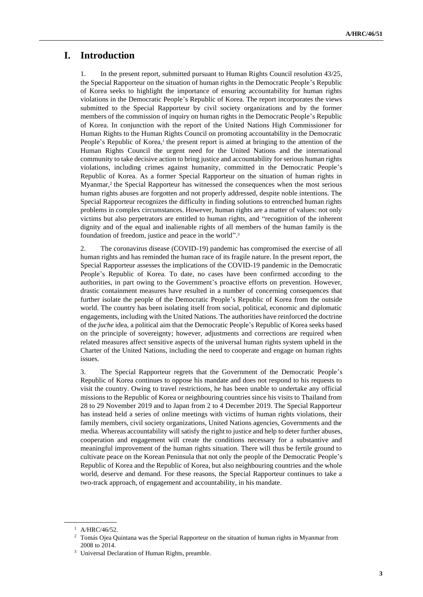### **I. Introduction**

1. In the present report, submitted pursuant to Human Rights Council resolution 43/25, the Special Rapporteur on the situation of human rights in the Democratic People's Republic of Korea seeks to highlight the importance of ensuring accountability for human rights violations in the Democratic People's Republic of Korea. The report incorporates the views submitted to the Special Rapporteur by civil society organizations and by the former members of the commission of inquiry on human rights in the Democratic People's Republic of Korea. In conjunction with the report of the United Nations High Commissioner for Human Rights to the Human Rights Council on promoting accountability in the Democratic People's Republic of Korea,<sup>1</sup> the present report is aimed at bringing to the attention of the Human Rights Council the urgent need for the United Nations and the international community to take decisive action to bring justice and accountability for serious human rights violations, including crimes against humanity, committed in the Democratic People's Republic of Korea. As a former Special Rapporteur on the situation of human rights in Myanmar,<sup>2</sup> the Special Rapporteur has witnessed the consequences when the most serious human rights abuses are forgotten and not properly addressed, despite noble intentions. The Special Rapporteur recognizes the difficulty in finding solutions to entrenched human rights problems in complex circumstances. However, human rights are a matter of values: not only victims but also perpetrators are entitled to human rights, and "recognition of the inherent dignity and of the equal and inalienable rights of all members of the human family is the foundation of freedom, justice and peace in the world".<sup>3</sup>

2. The coronavirus disease (COVID-19) pandemic has compromised the exercise of all human rights and has reminded the human race of its fragile nature. In the present report, the Special Rapporteur assesses the implications of the COVID-19 pandemic in the Democratic People's Republic of Korea. To date, no cases have been confirmed according to the authorities, in part owing to the Government's proactive efforts on prevention. However, drastic containment measures have resulted in a number of concerning consequences that further isolate the people of the Democratic People's Republic of Korea from the outside world. The country has been isolating itself from social, political, economic and diplomatic engagements, including with the United Nations. The authorities have reinforced the doctrine of the *juche* idea, a political aim that the Democratic People's Republic of Korea seeks based on the principle of sovereignty; however, adjustments and corrections are required when related measures affect sensitive aspects of the universal human rights system upheld in the Charter of the United Nations, including the need to cooperate and engage on human rights issues.

3. The Special Rapporteur regrets that the Government of the Democratic People's Republic of Korea continues to oppose his mandate and does not respond to his requests to visit the country. Owing to travel restrictions, he has been unable to undertake any official missions to the Republic of Korea or neighbouring countries since his visits to Thailand from 28 to 29 November 2019 and to Japan from 2 to 4 December 2019. The Special Rapporteur has instead held a series of online meetings with victims of human rights violations, their family members, civil society organizations, United Nations agencies, Governments and the media. Whereas accountability will satisfy the right to justice and help to deter further abuses, cooperation and engagement will create the conditions necessary for a substantive and meaningful improvement of the human rights situation. There will thus be fertile ground to cultivate peace on the Korean Peninsula that not only the people of the Democratic People's Republic of Korea and the Republic of Korea, but also neighbouring countries and the whole world, deserve and demand. For these reasons, the Special Rapporteur continues to take a two-track approach, of engagement and accountability, in his mandate.

<sup>1</sup> A/HRC/46/52.

<sup>&</sup>lt;sup>2</sup> Tomás Ojea Quintana was the Special Rapporteur on the situation of human rights in Myanmar from 2008 to 2014.

<sup>&</sup>lt;sup>3</sup> Universal Declaration of Human Rights, preamble.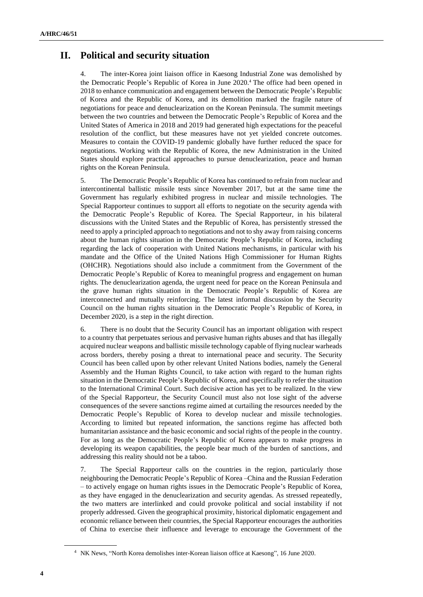# **II. Political and security situation**

4. The inter-Korea joint liaison office in Kaesong Industrial Zone was demolished by the Democratic People's Republic of Korea in June 2020.<sup>4</sup> The office had been opened in 2018 to enhance communication and engagement between the Democratic People's Republic of Korea and the Republic of Korea, and its demolition marked the fragile nature of negotiations for peace and denuclearization on the Korean Peninsula. The summit meetings between the two countries and between the Democratic People's Republic of Korea and the United States of America in 2018 and 2019 had generated high expectations for the peaceful resolution of the conflict, but these measures have not yet yielded concrete outcomes. Measures to contain the COVID-19 pandemic globally have further reduced the space for negotiations. Working with the Republic of Korea, the new Administration in the United States should explore practical approaches to pursue denuclearization, peace and human rights on the Korean Peninsula.

5. The Democratic People's Republic of Korea has continued to refrain from nuclear and intercontinental ballistic missile tests since November 2017, but at the same time the Government has regularly exhibited progress in nuclear and missile technologies. The Special Rapporteur continues to support all efforts to negotiate on the security agenda with the Democratic People's Republic of Korea. The Special Rapporteur, in his bilateral discussions with the United States and the Republic of Korea, has persistently stressed the need to apply a principled approach to negotiations and not to shy away from raising concerns about the human rights situation in the Democratic People's Republic of Korea, including regarding the lack of cooperation with United Nations mechanisms, in particular with his mandate and the Office of the United Nations High Commissioner for Human Rights (OHCHR). Negotiations should also include a commitment from the Government of the Democratic People's Republic of Korea to meaningful progress and engagement on human rights. The denuclearization agenda, the urgent need for peace on the Korean Peninsula and the grave human rights situation in the Democratic People's Republic of Korea are interconnected and mutually reinforcing. The latest informal discussion by the Security Council on the human rights situation in the Democratic People's Republic of Korea, in December 2020, is a step in the right direction.

6. There is no doubt that the Security Council has an important obligation with respect to a country that perpetuates serious and pervasive human rights abuses and that has illegally acquired nuclear weapons and ballistic missile technology capable of flying nuclear warheads across borders, thereby posing a threat to international peace and security. The Security Council has been called upon by other relevant United Nations bodies, namely the General Assembly and the Human Rights Council, to take action with regard to the human rights situation in the Democratic People's Republic of Korea, and specifically to refer the situation to the International Criminal Court. Such decisive action has yet to be realized. In the view of the Special Rapporteur, the Security Council must also not lose sight of the adverse consequences of the severe sanctions regime aimed at curtailing the resources needed by the Democratic People's Republic of Korea to develop nuclear and missile technologies. According to limited but repeated information, the sanctions regime has affected both humanitarian assistance and the basic economic and social rights of the people in the country. For as long as the Democratic People's Republic of Korea appears to make progress in developing its weapon capabilities, the people bear much of the burden of sanctions, and addressing this reality should not be a taboo.

7. The Special Rapporteur calls on the countries in the region, particularly those neighbouring the Democratic People's Republic of Korea –China and the Russian Federation – to actively engage on human rights issues in the Democratic People's Republic of Korea, as they have engaged in the denuclearization and security agendas. As stressed repeatedly, the two matters are interlinked and could provoke political and social instability if not properly addressed. Given the geographical proximity, historical diplomatic engagement and economic reliance between their countries, the Special Rapporteur encourages the authorities of China to exercise their influence and leverage to encourage the Government of the

<sup>4</sup> NK News, "North Korea demolishes inter-Korean liaison office at Kaesong", 16 June 2020.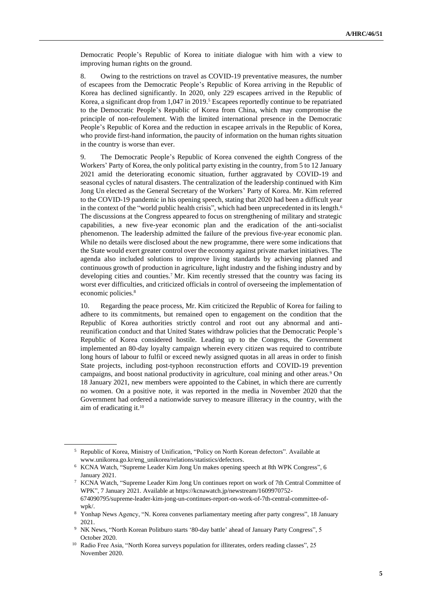Democratic People's Republic of Korea to initiate dialogue with him with a view to improving human rights on the ground.

8. Owing to the restrictions on travel as COVID-19 preventative measures, the number of escapees from the Democratic People's Republic of Korea arriving in the Republic of Korea has declined significantly. In 2020, only 229 escapees arrived in the Republic of Korea, a significant drop from 1,047 in 2019.<sup>5</sup> Escapees reportedly continue to be repatriated to the Democratic People's Republic of Korea from China, which may compromise the principle of non-refoulement. With the limited international presence in the Democratic People's Republic of Korea and the reduction in escapee arrivals in the Republic of Korea, who provide first-hand information, the paucity of information on the human rights situation in the country is worse than ever.

9. The Democratic People's Republic of Korea convened the eighth Congress of the Workers' Party of Korea, the only political party existing in the country, from 5 to 12 January 2021 amid the deteriorating economic situation, further aggravated by COVID-19 and seasonal cycles of natural disasters. The centralization of the leadership continued with Kim Jong Un elected as the General Secretary of the Workers' Party of Korea. Mr. Kim referred to the COVID-19 pandemic in his opening speech, stating that 2020 had been a difficult year in the context of the "world public health crisis", which had been unprecedented in its length.<sup>6</sup> The discussions at the Congress appeared to focus on strengthening of military and strategic capabilities, a new five-year economic plan and the eradication of the anti-socialist phenomenon. The leadership admitted the failure of the previous five-year economic plan. While no details were disclosed about the new programme, there were some indications that the State would exert greater control over the economy against private market initiatives. The agenda also included solutions to improve living standards by achieving planned and continuous growth of production in agriculture, light industry and the fishing industry and by developing cities and counties.<sup>7</sup> Mr. Kim recently stressed that the country was facing its worst ever difficulties, and criticized officials in control of overseeing the implementation of economic policies.<sup>8</sup>

10. Regarding the peace process, Mr. Kim criticized the Republic of Korea for failing to adhere to its commitments, but remained open to engagement on the condition that the Republic of Korea authorities strictly control and root out any abnormal and antireunification conduct and that United States withdraw policies that the Democratic People's Republic of Korea considered hostile. Leading up to the Congress, the Government implemented an 80-day loyalty campaign wherein every citizen was required to contribute long hours of labour to fulfil or exceed newly assigned quotas in all areas in order to finish State projects, including post-typhoon reconstruction efforts and COVID-19 prevention campaigns, and boost national productivity in agriculture, coal mining and other areas.<sup>9</sup> On 18 January 2021, new members were appointed to the Cabinet, in which there are currently no women. On a positive note, it was reported in the media in November 2020 that the Government had ordered a nationwide survey to measure illiteracy in the country, with the aim of eradicating it.<sup>10</sup>

<sup>5</sup> Republic of Korea, Ministry of Unification, "Policy on North Korean defectors". Available at www.unikorea.go.kr/eng\_unikorea/relations/statistics/defectors.

<sup>6</sup> KCNA Watch, "Supreme Leader Kim Jong Un makes opening speech at 8th WPK Congress", 6 January 2021.

<sup>7</sup> KCNA Watch, "Supreme Leader Kim Jong Un continues report on work of 7th Central Committee of WPK", 7 January 2021. Available at https://kcnawatch.jp/newstream/1609970752- 674090795/supreme-leader-kim-jong-un-continues-report-on-work-of-7th-central-committee-ofwpk/.

<sup>8</sup> Yonhap News Agency, "N. Korea convenes parliamentary meeting after party congress", 18 January 2021.

<sup>9</sup> NK News, "North Korean Politburo starts '80-day battle' ahead of January Party Congress", 5 October 2020.

<sup>&</sup>lt;sup>10</sup> Radio Free Asia, "North Korea surveys population for illiterates, orders reading classes", 25 November 2020.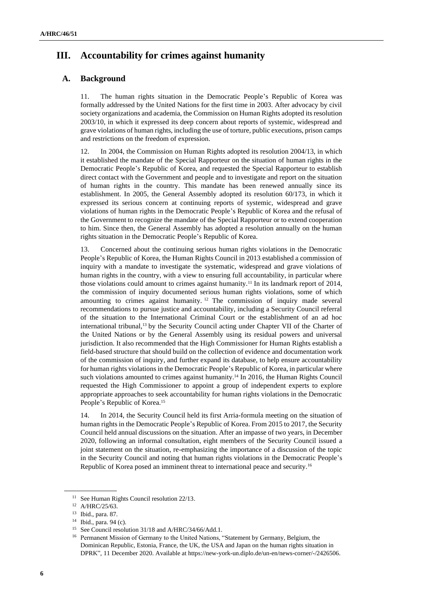# **III. Accountability for crimes against humanity**

### **A. Background**

11. The human rights situation in the Democratic People's Republic of Korea was formally addressed by the United Nations for the first time in 2003. After advocacy by civil society organizations and academia, the Commission on Human Rights adopted its resolution 2003/10, in which it expressed its deep concern about reports of systemic, widespread and grave violations of human rights, including the use of torture, public executions, prison camps and restrictions on the freedom of expression.

12. In 2004, the Commission on Human Rights adopted its resolution 2004/13, in which it established the mandate of the Special Rapporteur on the situation of human rights in the Democratic People's Republic of Korea, and requested the Special Rapporteur to establish direct contact with the Government and people and to investigate and report on the situation of human rights in the country. This mandate has been renewed annually since its establishment. In 2005, the General Assembly adopted its resolution 60/173, in which it expressed its serious concern at continuing reports of systemic, widespread and grave violations of human rights in the Democratic People's Republic of Korea and the refusal of the Government to recognize the mandate of the Special Rapporteur or to extend cooperation to him. Since then, the General Assembly has adopted a resolution annually on the human rights situation in the Democratic People's Republic of Korea.

13. Concerned about the continuing serious human rights violations in the Democratic People's Republic of Korea, the Human Rights Council in 2013 established a commission of inquiry with a mandate to investigate the systematic, widespread and grave violations of human rights in the country, with a view to ensuring full accountability, in particular where those violations could amount to crimes against humanity.<sup>11</sup> In its landmark report of 2014, the commission of inquiry documented serious human rights violations, some of which amounting to crimes against humanity.  $12$  The commission of inquiry made several recommendations to pursue justice and accountability, including a Security Council referral of the situation to the International Criminal Court or the establishment of an ad hoc international tribunal,<sup>13</sup> by the Security Council acting under Chapter VII of the Charter of the United Nations or by the General Assembly using its residual powers and universal jurisdiction. It also recommended that the High Commissioner for Human Rights establish a field-based structure that should build on the collection of evidence and documentation work of the commission of inquiry, and further expand its database, to help ensure accountability for human rights violations in the Democratic People's Republic of Korea, in particular where such violations amounted to crimes against humanity.<sup>14</sup> In 2016, the Human Rights Council requested the High Commissioner to appoint a group of independent experts to explore appropriate approaches to seek accountability for human rights violations in the Democratic People's Republic of Korea.<sup>15</sup>

14. In 2014, the Security Council held its first Arria-formula meeting on the situation of human rights in the Democratic People's Republic of Korea. From 2015 to 2017, the Security Council held annual discussions on the situation. After an impasse of two years, in December 2020, following an informal consultation, eight members of the Security Council issued a joint statement on the situation, re-emphasizing the importance of a discussion of the topic in the Security Council and noting that human rights violations in the Democratic People's Republic of Korea posed an imminent threat to international peace and security.<sup>16</sup>

<sup>&</sup>lt;sup>11</sup> See Human Rights Council resolution 22/13.

<sup>12</sup> A/HRC/25/63.

<sup>13</sup> Ibid., para. 87.

<sup>14</sup> Ibid., para. 94 (c).

<sup>&</sup>lt;sup>15</sup> See Council resolution 31/18 and A/HRC/34/66/Add.1.

<sup>&</sup>lt;sup>16</sup> Permanent Mission of Germany to the United Nations, "Statement by Germany, Belgium, the Dominican Republic, Estonia, France, the UK, the USA and Japan on the human rights situation in DPRK", 11 December 2020. Available at https://new-york-un.diplo.de/un-en/news-corner/-/2426506.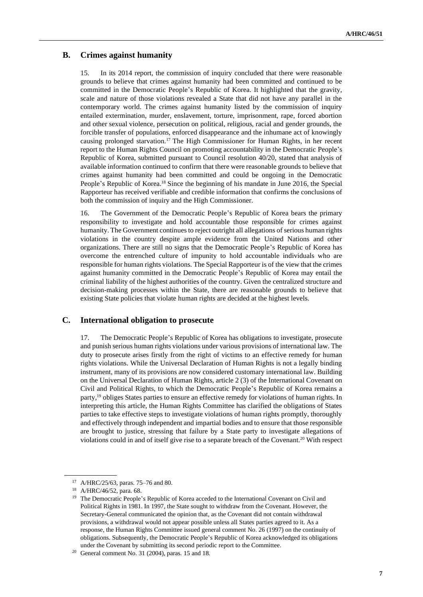### **B. Crimes against humanity**

15. In its 2014 report, the commission of inquiry concluded that there were reasonable grounds to believe that crimes against humanity had been committed and continued to be committed in the Democratic People's Republic of Korea. It highlighted that the gravity, scale and nature of those violations revealed a State that did not have any parallel in the contemporary world. The crimes against humanity listed by the commission of inquiry entailed extermination, murder, enslavement, torture, imprisonment, rape, forced abortion and other sexual violence, persecution on political, religious, racial and gender grounds, the forcible transfer of populations, enforced disappearance and the inhumane act of knowingly causing prolonged starvation.<sup>17</sup> The High Commissioner for Human Rights, in her recent report to the Human Rights Council on promoting accountability in the Democratic People's Republic of Korea, submitted pursuant to Council resolution 40/20, stated that analysis of available information continued to confirm that there were reasonable grounds to believe that crimes against humanity had been committed and could be ongoing in the Democratic People's Republic of Korea.<sup>18</sup> Since the beginning of his mandate in June 2016, the Special Rapporteur has received verifiable and credible information that confirms the conclusions of both the commission of inquiry and the High Commissioner.

16. The Government of the Democratic People's Republic of Korea bears the primary responsibility to investigate and hold accountable those responsible for crimes against humanity. The Government continues to reject outright all allegations of serious human rights violations in the country despite ample evidence from the United Nations and other organizations. There are still no signs that the Democratic People's Republic of Korea has overcome the entrenched culture of impunity to hold accountable individuals who are responsible for human rights violations. The Special Rapporteur is of the view that the crimes against humanity committed in the Democratic People's Republic of Korea may entail the criminal liability of the highest authorities of the country. Given the centralized structure and decision-making processes within the State, there are reasonable grounds to believe that existing State policies that violate human rights are decided at the highest levels.

#### **C. International obligation to prosecute**

17. The Democratic People's Republic of Korea has obligations to investigate, prosecute and punish serious human rights violations under various provisions of international law. The duty to prosecute arises firstly from the right of victims to an effective remedy for human rights violations. While the Universal Declaration of Human Rights is not a legally binding instrument, many of its provisions are now considered customary international law. Building on the Universal Declaration of Human Rights, article 2 (3) of the International Covenant on Civil and Political Rights, to which the Democratic People's Republic of Korea remains a party,<sup>19</sup> obliges States parties to ensure an effective remedy for violations of human rights. In interpreting this article, the Human Rights Committee has clarified the obligations of States parties to take effective steps to investigate violations of human rights promptly, thoroughly and effectively through independent and impartial bodies and to ensure that those responsible are brought to justice, stressing that failure by a State party to investigate allegations of violations could in and of itself give rise to a separate breach of the Covenant.<sup>20</sup> With respect

<sup>17</sup> A/HRC/25/63, paras. 75–76 and 80.

<sup>18</sup> A/HRC/46/52, para. 68.

<sup>&</sup>lt;sup>19</sup> The Democratic People's Republic of Korea acceded to the International Covenant on Civil and Political Rights in 1981. In 1997, the State sought to withdraw from the Covenant. However, the Secretary-General communicated the opinion that, as the Covenant did not contain withdrawal provisions, a withdrawal would not appear possible unless all States parties agreed to it. As a response, the Human Rights Committee issued general comment No. 26 (1997) on the continuity of obligations. Subsequently, the Democratic People's Republic of Korea acknowledged its obligations under the Covenant by submitting its second periodic report to the Committee.

<sup>20</sup> General comment No. 31 (2004), paras. 15 and 18*.*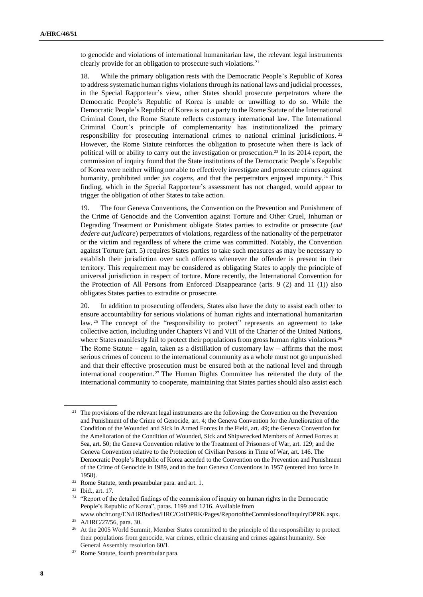to genocide and violations of international humanitarian law, the relevant legal instruments clearly provide for an obligation to prosecute such violations.<sup>21</sup>

18. While the primary obligation rests with the Democratic People's Republic of Korea to address systematic human rights violations through its national laws and judicial processes, in the Special Rapporteur's view, other States should prosecute perpetrators where the Democratic People's Republic of Korea is unable or unwilling to do so. While the Democratic People's Republic of Korea is not a party to the Rome Statute of the International Criminal Court, the Rome Statute reflects customary international law. The International Criminal Court's principle of complementarity has institutionalized the primary responsibility for prosecuting international crimes to national criminal jurisdictions.<sup>22</sup> However, the Rome Statute reinforces the obligation to prosecute when there is lack of political will or ability to carry out the investigation or prosecution.<sup>23</sup> In its 2014 report, the commission of inquiry found that the State institutions of the Democratic People's Republic of Korea were neither willing nor able to effectively investigate and prosecute crimes against humanity, prohibited under *jus cogens*, and that the perpetrators enjoyed impunity. <sup>24</sup> This finding, which in the Special Rapporteur's assessment has not changed, would appear to trigger the obligation of other States to take action.

19. The four Geneva Conventions, the Convention on the Prevention and Punishment of the Crime of Genocide and the Convention against Torture and Other Cruel, Inhuman or Degrading Treatment or Punishment obligate States parties to extradite or prosecute (*aut dedere aut judicare*) perpetrators of violations, regardless of the nationality of the perpetrator or the victim and regardless of where the crime was committed. Notably, the Convention against Torture (art. 5) requires States parties to take such measures as may be necessary to establish their jurisdiction over such offences whenever the offender is present in their territory. This requirement may be considered as obligating States to apply the principle of universal jurisdiction in respect of torture. More recently, the International Convention for the Protection of All Persons from Enforced Disappearance (arts. 9 (2) and 11 (1)) also obligates States parties to extradite or prosecute.

20. In addition to prosecuting offenders, States also have the duty to assist each other to ensure accountability for serious violations of human rights and international humanitarian law.<sup>25</sup> The concept of the "responsibility to protect" represents an agreement to take collective action, including under Chapters VI and VIII of the Charter of the United Nations, where States manifestly fail to protect their populations from gross human rights violations.<sup>26</sup> The Rome Statute – again, taken as a distillation of customary law – affirms that the most serious crimes of concern to the international community as a whole must not go unpunished and that their effective prosecution must be ensured both at the national level and through international cooperation.<sup>27</sup> The Human Rights Committee has reiterated the duty of the international community to cooperate, maintaining that States parties should also assist each

<sup>&</sup>lt;sup>21</sup> The provisions of the relevant legal instruments are the following: the Convention on the Prevention and Punishment of the Crime of Genocide, art. 4; the Geneva Convention for the Amelioration of the Condition of the Wounded and Sick in Armed Forces in the Field, art. 49; the Geneva Convention for the Amelioration of the Condition of Wounded, Sick and Shipwrecked Members of Armed Forces at Sea, art. 50; the Geneva Convention relative to the Treatment of Prisoners of War, art. 129; and the Geneva Convention relative to the Protection of Civilian Persons in Time of War, art. 146. The Democratic People's Republic of Korea acceded to the Convention on the Prevention and Punishment of the Crime of Genocide in 1989, and to the four Geneva Conventions in 1957 (entered into force in 1958).

<sup>22</sup> Rome Statute, tenth preambular para. and art. 1.

<sup>23</sup> Ibid., art. 17.

<sup>&</sup>lt;sup>24</sup> "Report of the detailed findings of the commission of inquiry on human rights in the Democratic People's Republic of Korea", paras. 1199 and 1216. Available from

www.ohchr.org/EN/HRBodies/HRC/CoIDPRK/Pages/ReportoftheCommissionofInquiryDPRK.aspx. <sup>25</sup> A/HRC/27/56, para. 30.

<sup>&</sup>lt;sup>26</sup> At the 2005 World Summit, Member States committed to the principle of the responsibility to protect their populations from genocide, war crimes, ethnic cleansing and crimes against humanity. See General Assembly resolution 60/1.

<sup>27</sup> Rome Statute, fourth preambular para.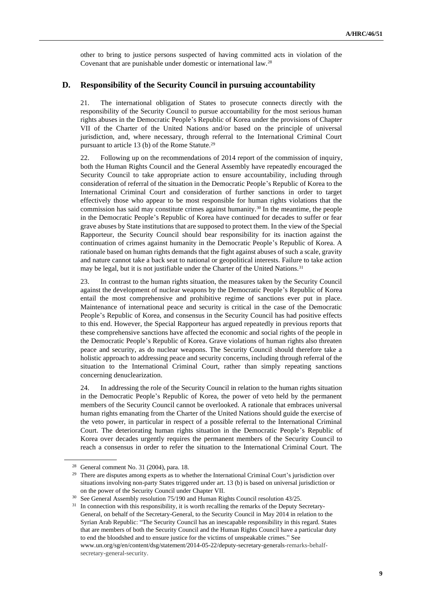other to bring to justice persons suspected of having committed acts in violation of the Covenant that are punishable under domestic or international law.<sup>28</sup>

#### **D. Responsibility of the Security Council in pursuing accountability**

21. The international obligation of States to prosecute connects directly with the responsibility of the Security Council to pursue accountability for the most serious human rights abuses in the Democratic People's Republic of Korea under the provisions of Chapter VII of the Charter of the United Nations and/or based on the principle of universal jurisdiction, and, where necessary, through referral to the International Criminal Court pursuant to article 13 (b) of the Rome Statute.<sup>29</sup>

22. Following up on the recommendations of 2014 report of the commission of inquiry, both the Human Rights Council and the General Assembly have repeatedly encouraged the Security Council to take appropriate action to ensure accountability, including through consideration of referral of the situation in the Democratic People's Republic of Korea to the International Criminal Court and consideration of further sanctions in order to target effectively those who appear to be most responsible for human rights violations that the commission has said may constitute crimes against humanity.<sup>30</sup> In the meantime, the people in the Democratic People's Republic of Korea have continued for decades to suffer or fear grave abuses by State institutions that are supposed to protect them. In the view of the Special Rapporteur, the Security Council should bear responsibility for its inaction against the continuation of crimes against humanity in the Democratic People's Republic of Korea. A rationale based on human rights demands that the fight against abuses of such a scale, gravity and nature cannot take a back seat to national or geopolitical interests. Failure to take action may be legal, but it is not justifiable under the Charter of the United Nations.<sup>31</sup>

23. In contrast to the human rights situation, the measures taken by the Security Council against the development of nuclear weapons by the Democratic People's Republic of Korea entail the most comprehensive and prohibitive regime of sanctions ever put in place. Maintenance of international peace and security is critical in the case of the Democratic People's Republic of Korea, and consensus in the Security Council has had positive effects to this end. However, the Special Rapporteur has argued repeatedly in previous reports that these comprehensive sanctions have affected the economic and social rights of the people in the Democratic People's Republic of Korea. Grave violations of human rights also threaten peace and security, as do nuclear weapons. The Security Council should therefore take a holistic approach to addressing peace and security concerns, including through referral of the situation to the International Criminal Court, rather than simply repeating sanctions concerning denuclearization.

24. In addressing the role of the Security Council in relation to the human rights situation in the Democratic People's Republic of Korea, the power of veto held by the permanent members of the Security Council cannot be overlooked. A rationale that embraces universal human rights emanating from the Charter of the United Nations should guide the exercise of the veto power, in particular in respect of a possible referral to the International Criminal Court. The deteriorating human rights situation in the Democratic People's Republic of Korea over decades urgently requires the permanent members of the Security Council to reach a consensus in order to refer the situation to the International Criminal Court. The

<sup>28</sup> General comment No. 31 (2004), para. 18.

<sup>&</sup>lt;sup>29</sup> There are disputes among experts as to whether the International Criminal Court's jurisdiction over situations involving non-party States triggered under art. 13 (b) is based on universal jurisdiction or on the power of the Security Council under Chapter VII.

<sup>&</sup>lt;sup>30</sup> See General Assembly resolution 75/190 and Human Rights Council resolution 43/25.

<sup>&</sup>lt;sup>31</sup> In connection with this responsibility, it is worth recalling the remarks of the Deputy Secretary-General, on behalf of the Secretary-General, to the Security Council in May 2014 in relation to the Syrian Arab Republic: "The Security Council has an inescapable responsibility in this regard. States that are members of both the Security Council and the Human Rights Council have a particular duty to end the bloodshed and to ensure justice for the victims of unspeakable crimes." See www.un.org/sg/en/content/dsg/statement/2014-05-22/deputy-secretary-generals-remarks-behalfsecretary-general-security.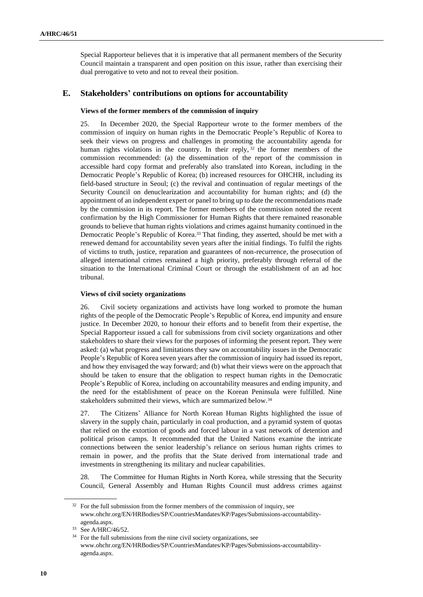Special Rapporteur believes that it is imperative that all permanent members of the Security Council maintain a transparent and open position on this issue, rather than exercising their dual prerogative to veto and not to reveal their position.

#### **E. Stakeholders' contributions on options for accountability**

#### **Views of the former members of the commission of inquiry**

25. In December 2020, the Special Rapporteur wrote to the former members of the commission of inquiry on human rights in the Democratic People's Republic of Korea to seek their views on progress and challenges in promoting the accountability agenda for human rights violations in the country. In their reply, <sup>32</sup> the former members of the commission recommended: (a) the dissemination of the report of the commission in accessible hard copy format and preferably also translated into Korean, including in the Democratic People's Republic of Korea; (b) increased resources for OHCHR, including its field-based structure in Seoul; (c) the revival and continuation of regular meetings of the Security Council on denuclearization and accountability for human rights; and (d) the appointment of an independent expert or panel to bring up to date the recommendations made by the commission in its report. The former members of the commission noted the recent confirmation by the High Commissioner for Human Rights that there remained reasonable grounds to believe that human rights violations and crimes against humanity continued in the Democratic People's Republic of Korea.<sup>33</sup> That finding, they asserted, should be met with a renewed demand for accountability seven years after the initial findings. To fulfil the rights of victims to truth, justice, reparation and guarantees of non-recurrence, the prosecution of alleged international crimes remained a high priority, preferably through referral of the situation to the International Criminal Court or through the establishment of an ad hoc tribunal.

#### **Views of civil society organizations**

26. Civil society organizations and activists have long worked to promote the human rights of the people of the Democratic People's Republic of Korea, end impunity and ensure justice. In December 2020, to honour their efforts and to benefit from their expertise, the Special Rapporteur issued a call for submissions from civil society organizations and other stakeholders to share their views for the purposes of informing the present report. They were asked: (a) what progress and limitations they saw on accountability issues in the Democratic People's Republic of Korea seven years after the commission of inquiry had issued its report, and how they envisaged the way forward; and (b) what their views were on the approach that should be taken to ensure that the obligation to respect human rights in the Democratic People's Republic of Korea, including on accountability measures and ending impunity, and the need for the establishment of peace on the Korean Peninsula were fulfilled. Nine stakeholders submitted their views, which are summarized below.<sup>34</sup>

27. The Citizens' Alliance for North Korean Human Rights highlighted the issue of slavery in the supply chain, particularly in coal production, and a pyramid system of quotas that relied on the extortion of goods and forced labour in a vast network of detention and political prison camps. It recommended that the United Nations examine the intricate connections between the senior leadership's reliance on serious human rights crimes to remain in power, and the profits that the State derived from international trade and investments in strengthening its military and nuclear capabilities.

28. The Committee for Human Rights in North Korea, while stressing that the Security Council, General Assembly and Human Rights Council must address crimes against

 $32$  For the full submission from the former members of the commission of inquiry, see www.ohchr.org/EN/HRBodies/SP/CountriesMandates/KP/Pages/Submissions-accountabilityagenda.aspx.

<sup>33</sup> See A/HRC/46/52.

<sup>34</sup> For the full submissions from the nine civil society organizations, see www.ohchr.org/EN/HRBodies/SP/CountriesMandates/KP/Pages/Submissions-accountabilityagenda.aspx.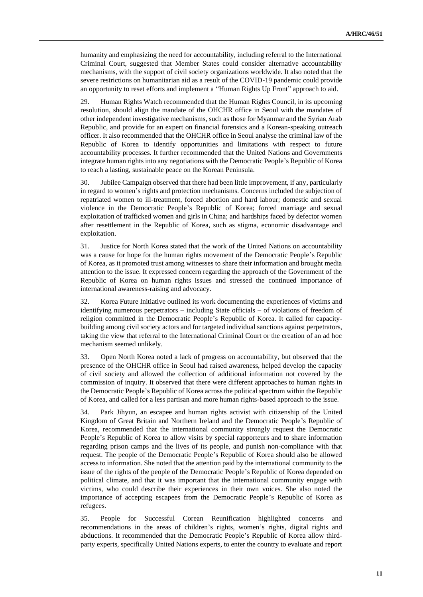humanity and emphasizing the need for accountability, including referral to the International Criminal Court, suggested that Member States could consider alternative accountability mechanisms, with the support of civil society organizations worldwide. It also noted that the severe restrictions on humanitarian aid as a result of the COVID-19 pandemic could provide an opportunity to reset efforts and implement a "Human Rights Up Front" approach to aid.

29. Human Rights Watch recommended that the Human Rights Council, in its upcoming resolution, should align the mandate of the OHCHR office in Seoul with the mandates of other independent investigative mechanisms, such as those for Myanmar and the Syrian Arab Republic, and provide for an expert on financial forensics and a Korean-speaking outreach officer. It also recommended that the OHCHR office in Seoul analyse the criminal law of the Republic of Korea to identify opportunities and limitations with respect to future accountability processes. It further recommended that the United Nations and Governments integrate human rights into any negotiations with the Democratic People's Republic of Korea to reach a lasting, sustainable peace on the Korean Peninsula.

30. Jubilee Campaign observed that there had been little improvement, if any, particularly in regard to women's rights and protection mechanisms. Concerns included the subjection of repatriated women to ill-treatment, forced abortion and hard labour; domestic and sexual violence in the Democratic People's Republic of Korea; forced marriage and sexual exploitation of trafficked women and girls in China; and hardships faced by defector women after resettlement in the Republic of Korea, such as stigma, economic disadvantage and exploitation.

31. Justice for North Korea stated that the work of the United Nations on accountability was a cause for hope for the human rights movement of the Democratic People's Republic of Korea, as it promoted trust among witnesses to share their information and brought media attention to the issue. It expressed concern regarding the approach of the Government of the Republic of Korea on human rights issues and stressed the continued importance of international awareness-raising and advocacy.

32. Korea Future Initiative outlined its work documenting the experiences of victims and identifying numerous perpetrators – including State officials – of violations of freedom of religion committed in the Democratic People's Republic of Korea. It called for capacitybuilding among civil society actors and for targeted individual sanctions against perpetrators, taking the view that referral to the International Criminal Court or the creation of an ad hoc mechanism seemed unlikely.

33. Open North Korea noted a lack of progress on accountability, but observed that the presence of the OHCHR office in Seoul had raised awareness, helped develop the capacity of civil society and allowed the collection of additional information not covered by the commission of inquiry. It observed that there were different approaches to human rights in the Democratic People's Republic of Korea across the political spectrum within the Republic of Korea, and called for a less partisan and more human rights-based approach to the issue.

34. Park Jihyun, an escapee and human rights activist with citizenship of the United Kingdom of Great Britain and Northern Ireland and the Democratic People's Republic of Korea, recommended that the international community strongly request the Democratic People's Republic of Korea to allow visits by special rapporteurs and to share information regarding prison camps and the lives of its people, and punish non-compliance with that request. The people of the Democratic People's Republic of Korea should also be allowed access to information. She noted that the attention paid by the international community to the issue of the rights of the people of the Democratic People's Republic of Korea depended on political climate, and that it was important that the international community engage with victims, who could describe their experiences in their own voices. She also noted the importance of accepting escapees from the Democratic People's Republic of Korea as refugees.

35. People for Successful Corean Reunification highlighted concerns and recommendations in the areas of children's rights, women's rights, digital rights and abductions. It recommended that the Democratic People's Republic of Korea allow thirdparty experts, specifically United Nations experts, to enter the country to evaluate and report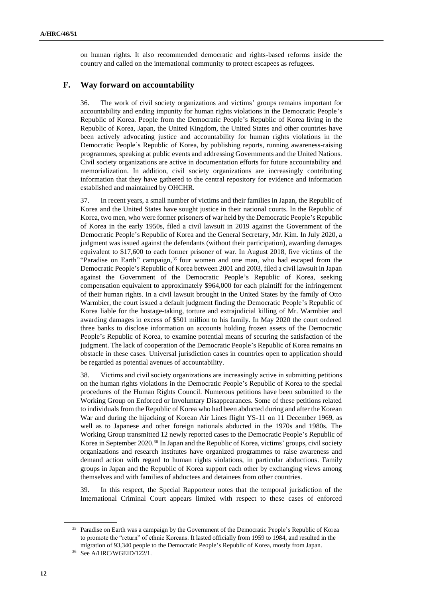on human rights. It also recommended democratic and rights-based reforms inside the country and called on the international community to protect escapees as refugees.

#### **F. Way forward on accountability**

36. The work of civil society organizations and victims' groups remains important for accountability and ending impunity for human rights violations in the Democratic People's Republic of Korea. People from the Democratic People's Republic of Korea living in the Republic of Korea, Japan, the United Kingdom, the United States and other countries have been actively advocating justice and accountability for human rights violations in the Democratic People's Republic of Korea, by publishing reports, running awareness-raising programmes, speaking at public events and addressing Governments and the United Nations. Civil society organizations are active in documentation efforts for future accountability and memorialization. In addition, civil society organizations are increasingly contributing information that they have gathered to the central repository for evidence and information established and maintained by OHCHR.

37. In recent years, a small number of victims and their families in Japan, the Republic of Korea and the United States have sought justice in their national courts. In the Republic of Korea, two men, who were former prisoners of war held by the Democratic People's Republic of Korea in the early 1950s, filed a civil lawsuit in 2019 against the Government of the Democratic People's Republic of Korea and the General Secretary, Mr. Kim. In July 2020, a judgment was issued against the defendants (without their participation), awarding damages equivalent to \$17,600 to each former prisoner of war. In August 2018, five victims of the "Paradise on Earth" campaign, <sup>35</sup> four women and one man, who had escaped from the Democratic People's Republic of Korea between 2001 and 2003, filed a civil lawsuit in Japan against the Government of the Democratic People's Republic of Korea, seeking compensation equivalent to approximately \$964,000 for each plaintiff for the infringement of their human rights. In a civil lawsuit brought in the United States by the family of Otto Warmbier, the court issued a default judgment finding the Democratic People's Republic of Korea liable for the hostage-taking, torture and extrajudicial killing of Mr. Warmbier and awarding damages in excess of \$501 million to his family. In May 2020 the court ordered three banks to disclose information on accounts holding frozen assets of the Democratic People's Republic of Korea, to examine potential means of securing the satisfaction of the judgment. The lack of cooperation of the Democratic People's Republic of Korea remains an obstacle in these cases. Universal jurisdiction cases in countries open to application should be regarded as potential avenues of accountability.

38. Victims and civil society organizations are increasingly active in submitting petitions on the human rights violations in the Democratic People's Republic of Korea to the special procedures of the Human Rights Council. Numerous petitions have been submitted to the Working Group on Enforced or Involuntary Disappearances. Some of these petitions related to individuals from the Republic of Korea who had been abducted during and after the Korean War and during the hijacking of Korean Air Lines flight YS-11 on 11 December 1969, as well as to Japanese and other foreign nationals abducted in the 1970s and 1980s. The Working Group transmitted 12 newly reported cases to the Democratic People's Republic of Korea in September 2020.<sup>36</sup> In Japan and the Republic of Korea, victims' groups, civil society organizations and research institutes have organized programmes to raise awareness and demand action with regard to human rights violations, in particular abductions. Family groups in Japan and the Republic of Korea support each other by exchanging views among themselves and with families of abductees and detainees from other countries.

39. In this respect, the Special Rapporteur notes that the temporal jurisdiction of the International Criminal Court appears limited with respect to these cases of enforced

<sup>&</sup>lt;sup>35</sup> Paradise on Earth was a campaign by the Government of the Democratic People's Republic of Korea to promote the "return" of ethnic Koreans. It lasted officially from 1959 to 1984, and resulted in the migration of 93,340 people to the Democratic People's Republic of Korea, mostly from Japan.

<sup>36</sup> See A/HRC/WGEID/122/1.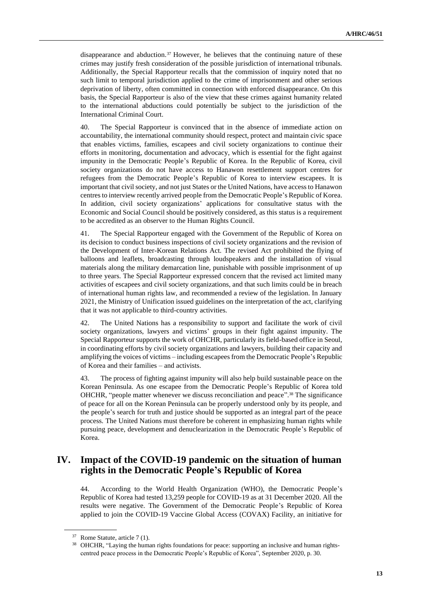disappearance and abduction.<sup>37</sup> However, he believes that the continuing nature of these crimes may justify fresh consideration of the possible jurisdiction of international tribunals. Additionally, the Special Rapporteur recalls that the commission of inquiry noted that no such limit to temporal jurisdiction applied to the crime of imprisonment and other serious deprivation of liberty, often committed in connection with enforced disappearance. On this basis, the Special Rapporteur is also of the view that these crimes against humanity related to the international abductions could potentially be subject to the jurisdiction of the International Criminal Court.

40. The Special Rapporteur is convinced that in the absence of immediate action on accountability, the international community should respect, protect and maintain civic space that enables victims, families, escapees and civil society organizations to continue their efforts in monitoring, documentation and advocacy, which is essential for the fight against impunity in the Democratic People's Republic of Korea. In the Republic of Korea, civil society organizations do not have access to Hanawon resettlement support centres for refugees from the Democratic People's Republic of Korea to interview escapees. It is important that civil society, and not just States or the United Nations, have access to Hanawon centres to interview recently arrived people from the Democratic People's Republic of Korea. In addition, civil society organizations' applications for consultative status with the Economic and Social Council should be positively considered, as this status is a requirement to be accredited as an observer to the Human Rights Council.

41. The Special Rapporteur engaged with the Government of the Republic of Korea on its decision to conduct business inspections of civil society organizations and the revision of the Development of Inter-Korean Relations Act. The revised Act prohibited the flying of balloons and leaflets, broadcasting through loudspeakers and the installation of visual materials along the military demarcation line, punishable with possible imprisonment of up to three years. The Special Rapporteur expressed concern that the revised act limited many activities of escapees and civil society organizations, and that such limits could be in breach of international human rights law, and recommended a review of the legislation. In January 2021, the Ministry of Unification issued guidelines on the interpretation of the act, clarifying that it was not applicable to third-country activities.

42. The United Nations has a responsibility to support and facilitate the work of civil society organizations, lawyers and victims' groups in their fight against impunity. The Special Rapporteur supports the work of OHCHR, particularly its field-based office in Seoul, in coordinating efforts by civil society organizations and lawyers, building their capacity and amplifying the voices of victims – including escapees from the Democratic People's Republic of Korea and their families – and activists.

43. The process of fighting against impunity will also help build sustainable peace on the Korean Peninsula. As one escapee from the Democratic People's Republic of Korea told OHCHR, "people matter whenever we discuss reconciliation and peace". <sup>38</sup> The significance of peace for all on the Korean Peninsula can be properly understood only by its people, and the people's search for truth and justice should be supported as an integral part of the peace process. The United Nations must therefore be coherent in emphasizing human rights while pursuing peace, development and denuclearization in the Democratic People's Republic of Korea.

# **IV. Impact of the COVID-19 pandemic on the situation of human rights in the Democratic People's Republic of Korea**

44. According to the World Health Organization (WHO), the Democratic People's Republic of Korea had tested 13,259 people for COVID-19 as at 31 December 2020. All the results were negative. The Government of the Democratic People's Republic of Korea applied to join the COVID-19 Vaccine Global Access (COVAX) Facility, an initiative for

<sup>37</sup> Rome Statute, article 7 (1).

<sup>38</sup> OHCHR, "Laying the human rights foundations for peace: supporting an inclusive and human rightscentred peace process in the Democratic People's Republic of Korea", September 2020, p. 30.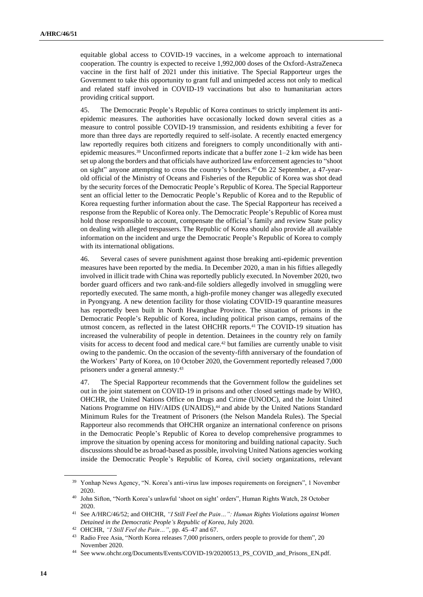equitable global access to COVID-19 vaccines, in a welcome approach to international cooperation. The country is expected to receive 1,992,000 doses of the Oxford-AstraZeneca vaccine in the first half of 2021 under this initiative. The Special Rapporteur urges the Government to take this opportunity to grant full and unimpeded access not only to medical and related staff involved in COVID-19 vaccinations but also to humanitarian actors providing critical support.

45. The Democratic People's Republic of Korea continues to strictly implement its antiepidemic measures. The authorities have occasionally locked down several cities as a measure to control possible COVID-19 transmission, and residents exhibiting a fever for more than three days are reportedly required to self-isolate. A recently enacted emergency law reportedly requires both citizens and foreigners to comply unconditionally with antiepidemic measures.<sup>39</sup> Unconfirmed reports indicate that a buffer zone  $1-2$  km wide has been set up along the borders and that officials have authorized law enforcement agencies to "shoot on sight" anyone attempting to cross the country's borders.<sup>40</sup> On 22 September, a 47-yearold official of the Ministry of Oceans and Fisheries of the Republic of Korea was shot dead by the security forces of the Democratic People's Republic of Korea. The Special Rapporteur sent an official letter to the Democratic People's Republic of Korea and to the Republic of Korea requesting further information about the case. The Special Rapporteur has received a response from the Republic of Korea only. The Democratic People's Republic of Korea must hold those responsible to account, compensate the official's family and review State policy on dealing with alleged trespassers. The Republic of Korea should also provide all available information on the incident and urge the Democratic People's Republic of Korea to comply with its international obligations.

46. Several cases of severe punishment against those breaking anti-epidemic prevention measures have been reported by the media. In December 2020, a man in his fifties allegedly involved in illicit trade with China was reportedly publicly executed. In November 2020, two border guard officers and two rank-and-file soldiers allegedly involved in smuggling were reportedly executed. The same month, a high-profile money changer was allegedly executed in Pyongyang. A new detention facility for those violating COVID-19 quarantine measures has reportedly been built in North Hwanghae Province. The situation of prisons in the Democratic People's Republic of Korea, including political prison camps, remains of the utmost concern, as reflected in the latest OHCHR reports.<sup>41</sup> The COVID-19 situation has increased the vulnerability of people in detention. Detainees in the country rely on family visits for access to decent food and medical care.<sup>42</sup> but families are currently unable to visit owing to the pandemic. On the occasion of the seventy-fifth anniversary of the foundation of the Workers' Party of Korea, on 10 October 2020, the Government reportedly released 7,000 prisoners under a general amnesty.<sup>43</sup>

47. The Special Rapporteur recommends that the Government follow the guidelines set out in the joint statement on COVID-19 in prisons and other closed settings made by WHO, OHCHR, the United Nations Office on Drugs and Crime (UNODC), and the Joint United Nations Programme on HIV/AIDS (UNAIDS), <sup>44</sup> and abide by the United Nations Standard Minimum Rules for the Treatment of Prisoners (the Nelson Mandela Rules). The Special Rapporteur also recommends that OHCHR organize an international conference on prisons in the Democratic People's Republic of Korea to develop comprehensive programmes to improve the situation by opening access for monitoring and building national capacity. Such discussions should be as broad-based as possible, involving United Nations agencies working inside the Democratic People's Republic of Korea, civil society organizations, relevant

<sup>&</sup>lt;sup>39</sup> Yonhap News Agency, "N. Korea's anti-virus law imposes requirements on foreigners", 1 November 2020.

<sup>40</sup> John Sifton, "North Korea's unlawful 'shoot on sight' orders", Human Rights Watch, 28 October 2020.

<sup>41</sup> See A/HRC/46/52; and OHCHR, *"I Still Feel the Pain…": Human Rights Violations against Women Detained in the Democratic People's Republic of Korea*, July 2020.

<sup>42</sup> OHCHR, *"I Still Feel the Pain…"*, pp. 45–47 and 67.

<sup>43</sup> Radio Free Asia, ["North Korea releases 7,000 prisoners, orders people to provide for them",](https://www.rfa.org/english/news/korea/prison-11202020193824.html) 20 November 2020.

<sup>44</sup> See www.ohchr.org/Documents/Events/COVID-19/20200513\_PS\_COVID\_and\_Prisons\_EN.pdf.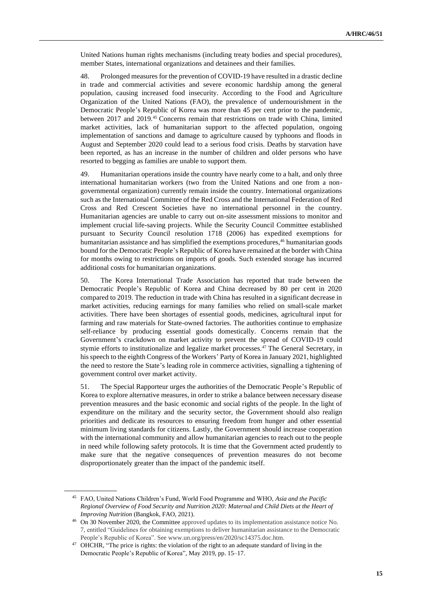United Nations human rights mechanisms (including treaty bodies and special procedures), member States, international organizations and detainees and their families.

48. Prolonged measures for the prevention of COVID-19 have resulted in a drastic decline in trade and commercial activities and severe economic hardship among the general population, causing increased food insecurity. According to the Food and Agriculture Organization of the United Nations (FAO), the prevalence of undernourishment in the Democratic People's Republic of Korea was more than 45 per cent prior to the pandemic, between 2017 and 2019.<sup>45</sup> Concerns remain that restrictions on trade with China, limited market activities, lack of humanitarian support to the affected population, ongoing implementation of sanctions and damage to agriculture caused by typhoons and floods in August and September 2020 could lead to a serious food crisis. Deaths by starvation have been reported, as has an increase in the number of children and older persons who have resorted to begging as families are unable to support them.

49. Humanitarian operations inside the country have nearly come to a halt, and only three international humanitarian workers (two from the United Nations and one from a nongovernmental organization) currently remain inside the country. International organizations such as the International Committee of the Red Cross and the International Federation of Red Cross and Red Crescent Societies have no international personnel in the country. Humanitarian agencies are unable to carry out on-site assessment missions to monitor and implement crucial life-saving projects. While the Security Council Committee established pursuant to Security Council resolution 1718 (2006) has expedited exemptions for humanitarian assistance and has simplified the exemptions procedures,<sup>46</sup> humanitarian goods bound for the Democratic People's Republic of Korea have remained at the border with China for months owing to restrictions on imports of goods. Such extended storage has incurred additional costs for humanitarian organizations.

50. The Korea International Trade Association has reported that trade between the Democratic People's Republic of Korea and China decreased by 80 per cent in 2020 compared to 2019. The reduction in trade with China has resulted in a significant decrease in market activities, reducing earnings for many families who relied on small-scale market activities. There have been shortages of essential goods, medicines, agricultural input for farming and raw materials for State-owned factories. The authorities continue to emphasize self-reliance by producing essential goods domestically. Concerns remain that the Government's crackdown on market activity to prevent the spread of COVID-19 could stymie efforts to institutionalize and legalize market processes.<sup>47</sup> The General Secretary, in his speech to the eighth Congress of the Workers' Party of Korea in January 2021, highlighted the need to restore the State's leading role in commerce activities, signalling a tightening of government control over market activity.

51. The Special Rapporteur urges the authorities of the Democratic People's Republic of Korea to explore alternative measures, in order to strike a balance between necessary disease prevention measures and the basic economic and social rights of the people. In the light of expenditure on the military and the security sector, the Government should also realign priorities and dedicate its resources to ensuring freedom from hunger and other essential minimum living standards for citizens. Lastly, the Government should increase cooperation with the international community and allow humanitarian agencies to reach out to the people in need while following safety protocols. It is time that the Government acted prudently to make sure that the negative consequences of prevention measures do not become disproportionately greater than the impact of the pandemic itself.

<sup>45</sup> FAO, United Nations Children's Fund, World Food Programme and WHO, *Asia and the Pacific Regional Overview of Food Security and Nutrition 2020: Maternal and Child Diets at the Heart of Improving Nutrition* (Bangkok, FAO, 2021).

<sup>46</sup> On 30 November 2020, the Committee approved updates to its implementation assistance notice No. 7, entitled "Guidelines for obtaining exemptions to deliver humanitarian assistance to the Democratic People's Republic of Korea". See www.un.org/press/en/2020/sc14375.doc.htm.

<sup>&</sup>lt;sup>47</sup> OHCHR, "The price is rights: the violation of the right to an adequate standard of living in the [Democratic People's Republic of Korea",](https://www.ohchr.org/Documents/Countries/KP/ThePriceIsRights_EN.pdf) May 2019, pp. 15–17.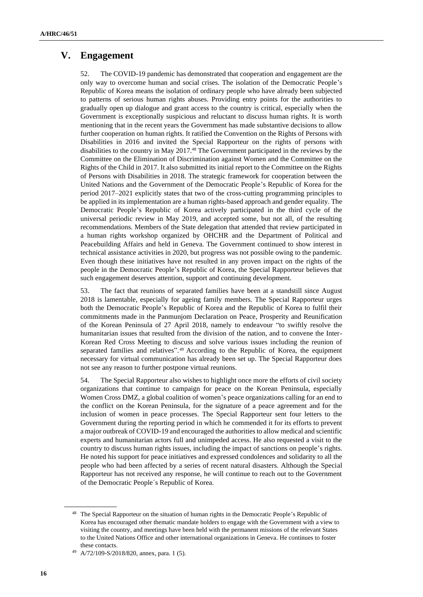### **V. Engagement**

52. The COVID-19 pandemic has demonstrated that cooperation and engagement are the only way to overcome human and social crises. The isolation of the Democratic People's Republic of Korea means the isolation of ordinary people who have already been subjected to patterns of serious human rights abuses. Providing entry points for the authorities to gradually open up dialogue and grant access to the country is critical, especially when the Government is exceptionally suspicious and reluctant to discuss human rights. It is worth mentioning that in the recent years the Government has made substantive decisions to allow further cooperation on human rights. It ratified the Convention on the Rights of Persons with Disabilities in 2016 and invited the Special Rapporteur on the rights of persons with disabilities to the country in May 2017.<sup>48</sup> The Government participated in the reviews by the Committee on the Elimination of Discrimination against Women and the Committee on the Rights of the Child in 2017. It also submitted its initial report to the Committee on the Rights of Persons with Disabilities in 2018. The strategic framework for cooperation between the United Nations and the Government of the Democratic People's Republic of Korea for the period 2017–2021 explicitly states that two of the cross-cutting programming principles to be applied in its implementation are a human rights-based approach and gender equality. The Democratic People's Republic of Korea actively participated in the third cycle of the universal periodic review in May 2019, and accepted some, but not all, of the resulting recommendations. Members of the State delegation that attended that review participated in a human rights workshop organized by OHCHR and the Department of Political and Peacebuilding Affairs and held in Geneva. The Government continued to show interest in technical assistance activities in 2020, but progress was not possible owing to the pandemic. Even though these initiatives have not resulted in any proven impact on the rights of the people in the Democratic People's Republic of Korea, the Special Rapporteur believes that such engagement deserves attention, support and continuing development.

53. The fact that reunions of separated families have been at a standstill since August 2018 is lamentable, especially for ageing family members. The Special Rapporteur urges both the Democratic People's Republic of Korea and the Republic of Korea to fulfil their commitments made in the Panmunjom Declaration on Peace, Prosperity and Reunification of the Korean Peninsula of 27 April 2018, namely to endeavour "to swiftly resolve the humanitarian issues that resulted from the division of the nation, and to convene the Inter-Korean Red Cross Meeting to discuss and solve various issues including the reunion of separated families and relatives". <sup>49</sup> According to the Republic of Korea, the equipment necessary for virtual communication has already been set up. The Special Rapporteur does not see any reason to further postpone virtual reunions.

54. The Special Rapporteur also wishes to highlight once more the efforts of civil society organizations that continue to campaign for peace on the Korean Peninsula, especially Women Cross DMZ, a global coalition of women's peace organizations calling for an end to the conflict on the Korean Peninsula, for the signature of a peace agreement and for the inclusion of women in peace processes. The Special Rapporteur sent four letters to the Government during the reporting period in which he commended it for its efforts to prevent a major outbreak of COVID-19 and encouraged the authorities to allow medical and scientific experts and humanitarian actors full and unimpeded access. He also requested a visit to the country to discuss human rights issues, including the impact of sanctions on people's rights. He noted his support for peace initiatives and expressed condolences and solidarity to all the people who had been affected by a series of recent natural disasters. Although the Special Rapporteur has not received any response, he will continue to reach out to the Government of the Democratic People´s Republic of Korea.

<sup>&</sup>lt;sup>48</sup> The Special Rapporteur on the situation of human rights in the Democratic People's Republic of Korea has encouraged other thematic mandate holders to engage with the Government with a view to visiting the country, and meetings have been held with the permanent missions of the relevant States to the United Nations Office and other international organizations in Geneva. He continues to foster these contacts.

A/72/109-S/2018/820, annex, para. 1 (5).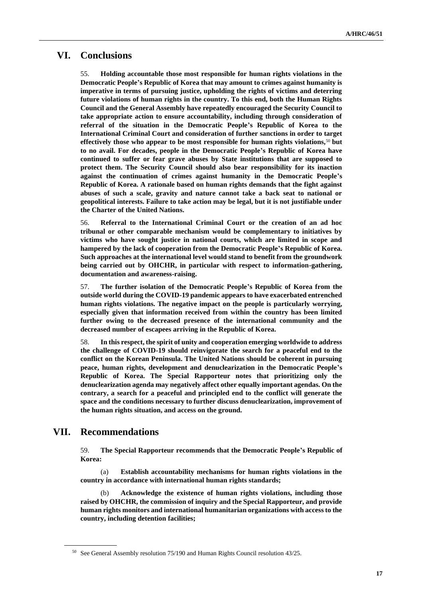# **VI. Conclusions**

55. **Holding accountable those most responsible for human rights violations in the Democratic People's Republic of Korea that may amount to crimes against humanity is imperative in terms of pursuing justice, upholding the rights of victims and deterring future violations of human rights in the country. To this end, both the Human Rights Council and the General Assembly have repeatedly encouraged the Security Council to take appropriate action to ensure accountability, including through consideration of referral of the situation in the Democratic People's Republic of Korea to the International Criminal Court and consideration of further sanctions in order to target effectively those who appear to be most responsible for human rights violations,**<sup>50</sup> **but to no avail. For decades, people in the Democratic People's Republic of Korea have continued to suffer or fear grave abuses by State institutions that are supposed to protect them. The Security Council should also bear responsibility for its inaction against the continuation of crimes against humanity in the Democratic People's Republic of Korea. A rationale based on human rights demands that the fight against abuses of such a scale, gravity and nature cannot take a back seat to national or geopolitical interests. Failure to take action may be legal, but it is not justifiable under the Charter of the United Nations.**

56. **Referral to the International Criminal Court or the creation of an ad hoc tribunal or other comparable mechanism would be complementary to initiatives by victims who have sought justice in national courts, which are limited in scope and hampered by the lack of cooperation from the Democratic People's Republic of Korea. Such approaches at the international level would stand to benefit from the groundwork being carried out by OHCHR, in particular with respect to information-gathering, documentation and awareness-raising.**

57. **The further isolation of the Democratic People's Republic of Korea from the outside world during the COVID-19 pandemic appears to have exacerbated entrenched human rights violations. The negative impact on the people is particularly worrying, especially given that information received from within the country has been limited further owing to the decreased presence of the international community and the decreased number of escapees arriving in the Republic of Korea.** 

58. **In this respect, the spirit of unity and cooperation emerging worldwide to address the challenge of COVID-19 should reinvigorate the search for a peaceful end to the conflict on the Korean Peninsula. The United Nations should be coherent in pursuing peace, human rights, development and denuclearization in the Democratic People's Republic of Korea. The Special Rapporteur notes that prioritizing only the denuclearization agenda may negatively affect other equally important agendas. On the contrary, a search for a peaceful and principled end to the conflict will generate the space and the conditions necessary to further discuss denuclearization, improvement of the human rights situation, and access on the ground.**

### **VII. Recommendations**

59. **The Special Rapporteur recommends that the Democratic People's Republic of Korea:**

(a) **Establish accountability mechanisms for human rights violations in the country in accordance with international human rights standards;**

(b) **Acknowledge the existence of human rights violations, including those raised by OHCHR, the commission of inquiry and the Special Rapporteur, and provide human rights monitors and international humanitarian organizations with access to the country, including detention facilities;** 

<sup>50</sup> See General Assembly resolution 75/190 and Human Rights Council resolution 43/25.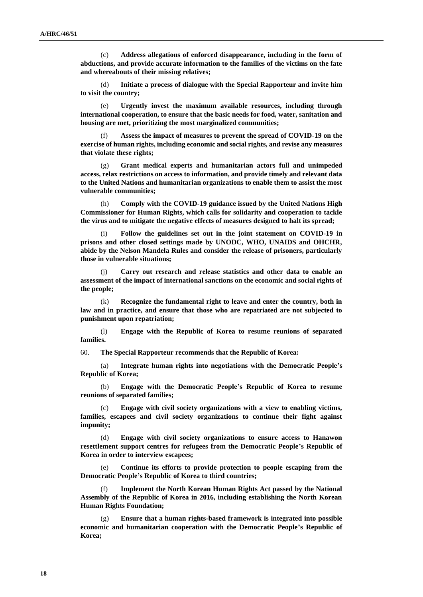(c) **Address allegations of enforced disappearance, including in the form of abductions, and provide accurate information to the families of the victims on the fate and whereabouts of their missing relatives;** 

(d) **Initiate a process of dialogue with the Special Rapporteur and invite him to visit the country;** 

(e) **Urgently invest the maximum available resources, including through international cooperation, to ensure that the basic needs for food, water, sanitation and housing are met, prioritizing the most marginalized communities;**

(f) **Assess the impact of measures to prevent the spread of COVID-19 on the exercise of human rights, including economic and social rights, and revise any measures that violate these rights;** 

(g) **Grant medical experts and humanitarian actors full and unimpeded access, relax restrictions on access to information, and provide timely and relevant data to the United Nations and humanitarian organizations to enable them to assist the most vulnerable communities;** 

(h) **Comply with the COVID-19 guidance issued by the United Nations High Commissioner for Human Rights, which calls for solidarity and cooperation to tackle the virus and to mitigate the negative effects of measures designed to halt its spread;** 

Follow the guidelines set out in the joint statement on COVID-19 in **prisons and other closed settings made by UNODC, WHO, UNAIDS and OHCHR, abide by the Nelson Mandela Rules and consider the release of prisoners, particularly those in vulnerable situations;** 

(j) **Carry out research and release statistics and other data to enable an assessment of the impact of international sanctions on the economic and social rights of the people;** 

(k) **Recognize the fundamental right to leave and enter the country, both in law and in practice, and ensure that those who are repatriated are not subjected to punishment upon repatriation;**

(l) **Engage with the Republic of Korea to resume reunions of separated families.** 

60. **The Special Rapporteur recommends that the Republic of Korea:** 

(a) **Integrate human rights into negotiations with the Democratic People's Republic of Korea;** 

(b) **Engage with the Democratic People's Republic of Korea to resume reunions of separated families;** 

(c) **Engage with civil society organizations with a view to enabling victims, families, escapees and civil society organizations to continue their fight against impunity;** 

(d) **Engage with civil society organizations to ensure access to Hanawon resettlement support centres for refugees from the Democratic People's Republic of Korea in order to interview escapees;**

(e) **Continue its efforts to provide protection to people escaping from the Democratic People's Republic of Korea to third countries;** 

**Implement the North Korean Human Rights Act passed by the National Assembly of the Republic of Korea in 2016, including establishing the North Korean Human Rights Foundation;** 

(g) **Ensure that a human rights-based framework is integrated into possible economic and humanitarian cooperation with the Democratic People's Republic of Korea;**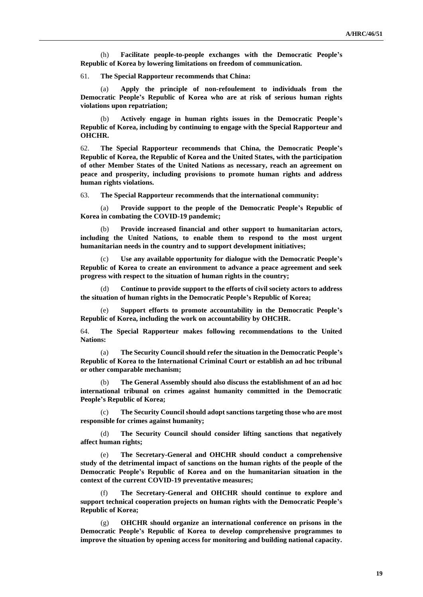(h) **Facilitate people-to-people exchanges with the Democratic People's Republic of Korea by lowering limitations on freedom of communication.** 

61. **The Special Rapporteur recommends that China:** 

(a) **Apply the principle of non-refoulement to individuals from the Democratic People's Republic of Korea who are at risk of serious human rights violations upon repatriation;** 

(b) **Actively engage in human rights issues in the Democratic People's Republic of Korea, including by continuing to engage with the Special Rapporteur and OHCHR.** 

62. **The Special Rapporteur recommends that China, the Democratic People's Republic of Korea, the Republic of Korea and the United States, with the participation of other Member States of the United Nations as necessary, reach an agreement on peace and prosperity, including provisions to promote human rights and address human rights violations.** 

63. **The Special Rapporteur recommends that the international community:** 

(a) **Provide support to the people of the Democratic People's Republic of Korea in combating the COVID-19 pandemic;** 

Provide increased financial and other support to humanitarian actors, **including the United Nations, to enable them to respond to the most urgent humanitarian needs in the country and to support development initiatives;** 

(c) **Use any available opportunity for dialogue with the Democratic People's Republic of Korea to create an environment to advance a peace agreement and seek progress with respect to the situation of human rights in the country;** 

(d) **Continue to provide support to the efforts of civil society actors to address the situation of human rights in the Democratic People's Republic of Korea;**

(e) **Support efforts to promote accountability in the Democratic People's Republic of Korea, including the work on accountability by OHCHR.**

64. **The Special Rapporteur makes following recommendations to the United Nations:** 

(a) **The Security Council should refer the situation in the Democratic People's Republic of Korea to the International Criminal Court or establish an ad hoc tribunal or other comparable mechanism;** 

(b) **The General Assembly should also discuss the establishment of an ad hoc international tribunal on crimes against humanity committed in the Democratic People's Republic of Korea;**

(c) **The Security Council should adopt sanctions targeting those who are most responsible for crimes against humanity;** 

(d) **The Security Council should consider lifting sanctions that negatively affect human rights;** 

(e) **The Secretary-General and OHCHR should conduct a comprehensive study of the detrimental impact of sanctions on the human rights of the people of the Democratic People's Republic of Korea and on the humanitarian situation in the context of the current COVID-19 preventative measures;** 

(f) **The Secretary-General and OHCHR should continue to explore and support technical cooperation projects on human rights with the Democratic People's Republic of Korea;**

(g) **OHCHR should organize an international conference on prisons in the Democratic People's Republic of Korea to develop comprehensive programmes to improve the situation by opening access for monitoring and building national capacity.**